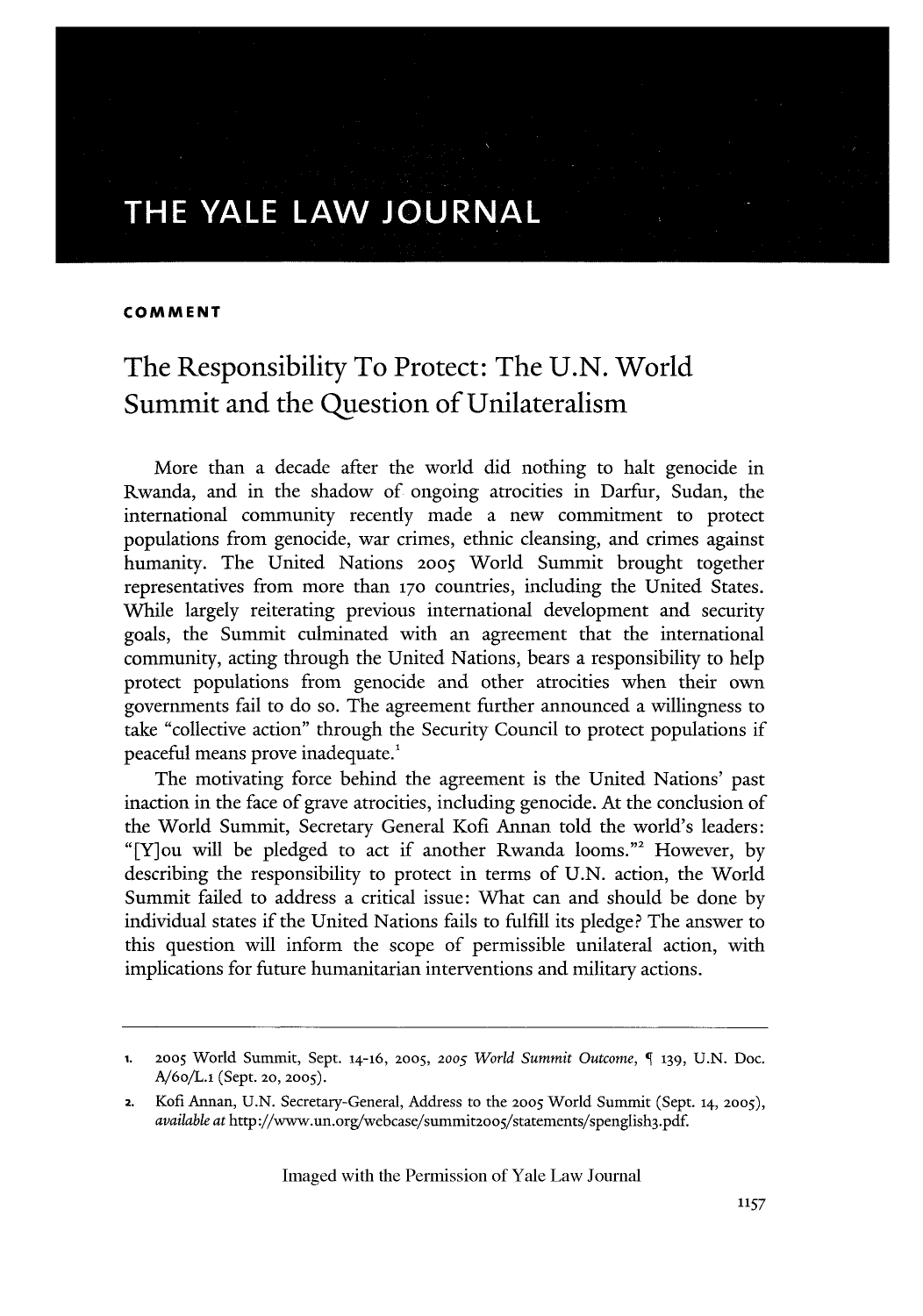# **THE YALE LAW JOURNAL**

#### **COMMENT**

## The Responsibility To Protect: The **U.N.** World Summit and the Question of Unilateralism

More than a decade after the world did nothing to halt genocide in Rwanda, and in the shadow of ongoing atrocities in Darfur, Sudan, the international community recently made a new commitment to protect populations from genocide, war crimes, ethnic cleansing, and crimes against humanity. The United Nations **2005** World Summit brought together representatives from more than **170** countries, including the United States. While largely reiterating previous international development and security goals, the Summit culminated with an agreement that the international community, acting through the United Nations, bears a responsibility to help protect populations from genocide and other atrocities when their own governments fail to do so. The agreement further announced a willingness to take "collective action" through the Security Council to protect populations if peaceful means prove inadequate.'

The motivating force behind the agreement is the United Nations' past inaction in the face of grave atrocities, including genocide. At the conclusion of the World Summit, Secretary General Kofi Annan told the world's leaders: "[Y]ou will be pledged to act if another Rwanda looms."2 However, by describing the responsibility to protect in terms of U.N. action, the World Summit failed to address a critical issue: What can and should be done by individual states if the United Nations fails to fulfill its pledge? The answer to this question will inform the scope of permissible unilateral action, with implications for future humanitarian interventions and military actions.

**<sup>1. 2005</sup>** World Summit, Sept. 14-16, **2005, 2005** *World Summit Outcome,* **139,** U.N. Doc. A/6o/L.i (Sept. 20, 2005).

**<sup>2.</sup>** Kofi Annan, U.N. Secretary-General, Address to the **2005** World Summit (Sept. **14, 2005),** *available at* http ://www.un.org/webcase/summit20o5/statements/spenglish3.pdf.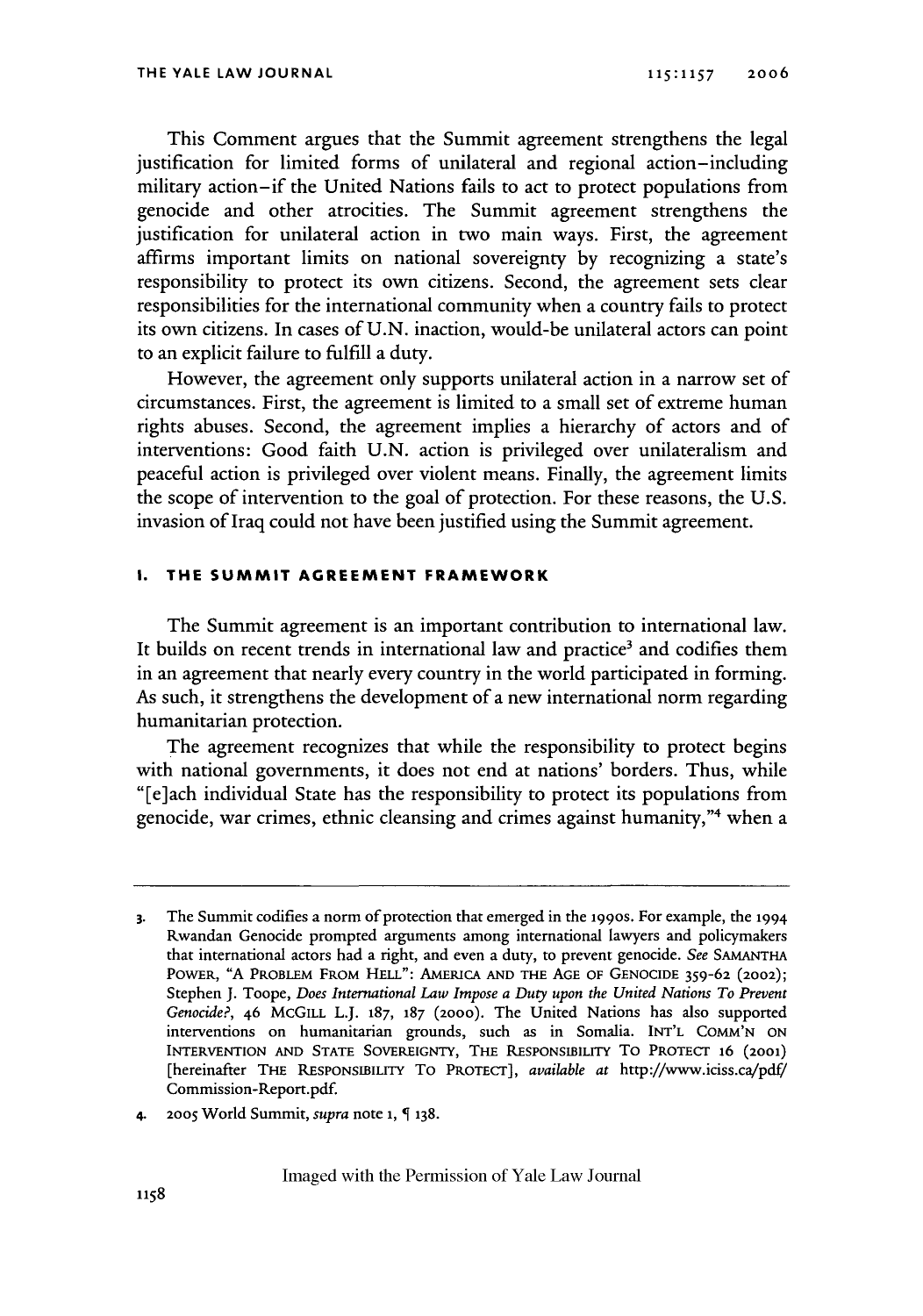This Comment argues that the Summit agreement strengthens the legal justification for limited forms of unilateral and regional action-including military action-if the United Nations fails to act to protect populations from genocide and other atrocities. The Summit agreement strengthens the justification for unilateral action in two main ways. First, the agreement affirms important limits on national sovereignty by recognizing a state's responsibility to protect its own citizens. Second, the agreement sets clear responsibilities for the international community when a country fails to protect its own citizens. In cases of U.N. inaction, would-be unilateral actors can point to an explicit failure to fulfill a duty.

However, the agreement only supports unilateral action in a narrow set of circumstances. First, the agreement is limited to a small set of extreme human rights abuses. Second, the agreement implies a hierarchy of actors and of interventions: Good faith U.N. action is privileged over unilateralism and peaceful action is privileged over violent means. Finally, the agreement limits the scope of intervention to the goal of protection. For these reasons, the U.S. invasion of Iraq could not have been justified using the Summit agreement.

#### **I. THE SUMMIT AGREEMENT FRAMEWORK**

The Summit agreement is an important contribution to international law. It builds on recent trends in international law and practice<sup>3</sup> and codifies them in an agreement that nearly every country in the world participated in forming. As such, it strengthens the development of a new international norm regarding humanitarian protection.

The agreement recognizes that while the responsibility to protect begins with national governments, it does not end at nations' borders. Thus, while "[e]ach individual State has the responsibility to protect its populations from genocide, war crimes, ethnic cleansing and crimes against humanity,"4 when a

4. **2005** World Summit, *supra* note **1, 138.**

**<sup>3.</sup>** The Summit codifies a norm of protection that emerged in the 199os. For example, the 1994 Rwandan Genocide prompted arguments among international lawyers and policymakers that international actors had a right, and even a duty, to prevent genocide. See **SAMANTHA** POWER, "A PROBLEM FROM **HELL":** AMERICA **AND** THE **AGE OF** GENOCIDE 359-62 (2002); Stephen **J.** Toope, *Does International Law Impose a Duty upon the United Nations To Prevent Genocide?,* 46 MCGiLL L.J. **187, 187** (2000). The United Nations has also supported interventions on humanitarian grounds, such as in Somalia. **INT'L COMM'N ON** INTERVENTION **AND STATE SOVEREIGNTY, THE** RESPONSIBILITY To PROTECT 16 **(2OO1)** [hereinafter THE RESPONSIBILITY To PROTECT], *available at* http://www.iciss.ca/pdf/ Commission-Report.pdf.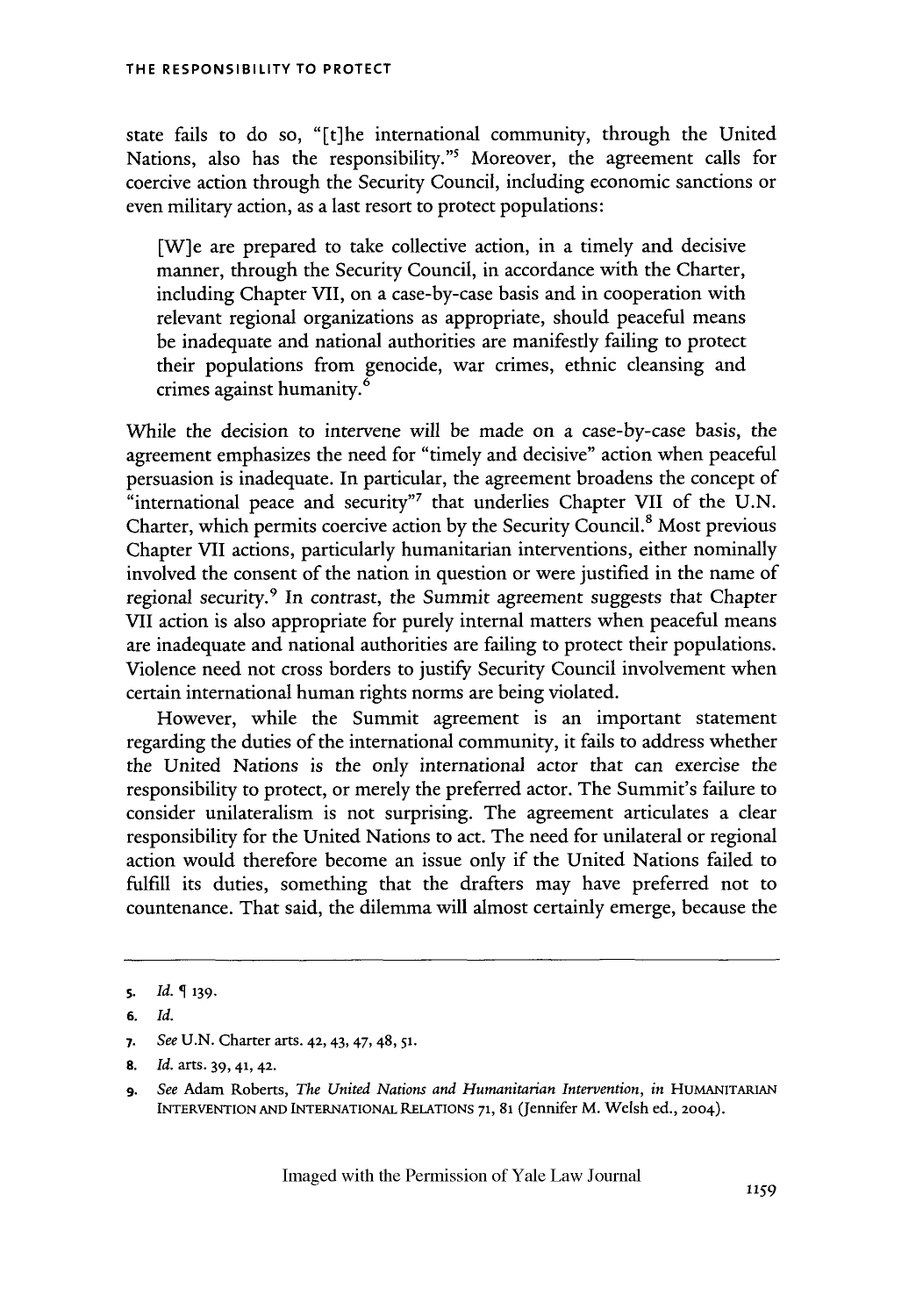state fails to do so, "[t]he international community, through the United Nations, also has the responsibility."<sup>5</sup> Moreover, the agreement calls for coercive action through the Security Council, including economic sanctions or even military action, as a last resort to protect populations:

[W]e are prepared to take collective action, in a timely and decisive manner, through the Security Council, in accordance with the Charter, including Chapter VII, on a case-by-case basis and in cooperation with relevant regional organizations as appropriate, should peaceful means be inadequate and national authorities are manifestly failing to protect their populations from genocide, war crimes, ethnic cleansing and crimes against humanity.<sup>6</sup>

While the decision to intervene will be made on a case-by-case basis, the agreement emphasizes the need for "timely and decisive" action when peaceful persuasion is inadequate. In particular, the agreement broadens the concept of "international peace and security"<sup>7</sup> that underlies Chapter VII of the U.N. Charter, which permits coercive action by the Security Council.8 Most previous Chapter VII actions, particularly humanitarian interventions, either nominally involved the consent of the nation in question or were justified in the name of regional security.<sup>9</sup> In contrast, the Summit agreement suggests that Chapter VII action is also appropriate for purely internal matters when peaceful means are inadequate and national authorities are failing to protect their populations. Violence need not cross borders to justify Security Council involvement when certain international human rights norms are being violated.

However, while the Summit agreement is an important statement regarding the duties of the international community, it fails to address whether the United Nations is the only international actor that can exercise the responsibility to protect, or merely the preferred actor. The Summit's failure to consider unilateralism is not surprising. The agreement articulates a clear responsibility for the United Nations to act. The need for unilateral or regional action would therefore become an issue only if the United Nations failed to fulfill its duties, something that the drafters may have preferred not to countenance. That said, the dilemma will almost certainly emerge, because the

**<sup>5.</sup>** *Id.* **139.**

**<sup>6.</sup>** *Id.*

**<sup>7.</sup>** *See* U.N. Charter arts. 42, 43, 47, 48, **51.**

**<sup>8.</sup>** *Id.* arts. 39, 41, **42.**

**<sup>9.</sup>** *See* Adam Roberts, *The United Nations and Humanitarian Intervention, in* HUMANITARIAN INTERVENTION **AND INTERNATIONAL** RELATIONS **71,** 81 (Jennifer M. Welsh ed., 2004).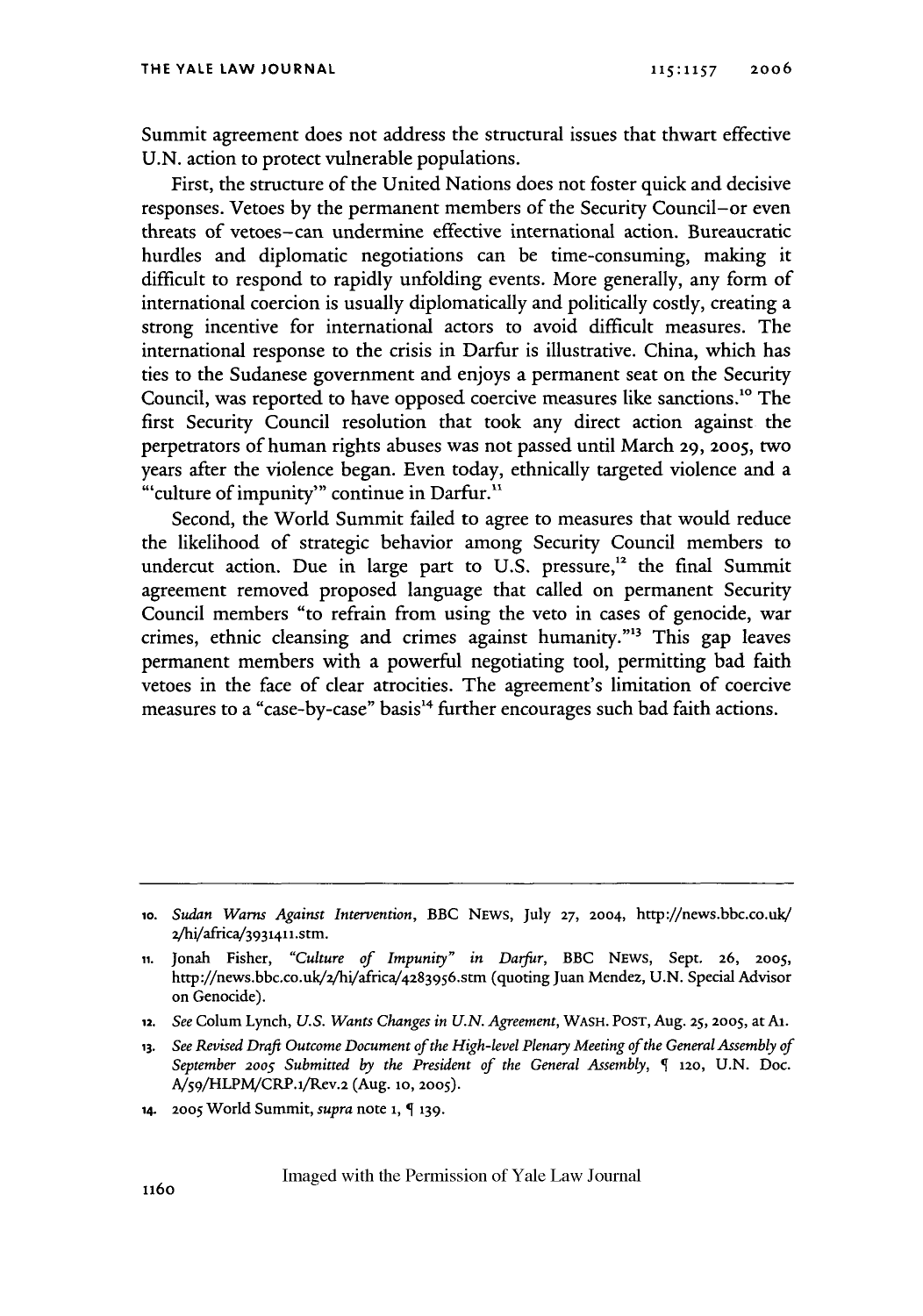Summit agreement does not address the structural issues that thwart effective U.N. action to protect vulnerable populations.

First, the structure of the United Nations does not foster quick and decisive responses. Vetoes by the permanent members of the Security Council-or even threats of vetoes-can undermine effective international action. Bureaucratic hurdles and diplomatic negotiations can be time-consuming, making it difficult to respond to rapidly unfolding events. More generally, any form of international coercion is usually diplomatically and politically costly, creating a strong incentive for international actors to avoid difficult measures. The international response to the crisis in Darfur is illustrative. China, which has ties to the Sudanese government and enjoys a permanent seat on the Security Council, was reported to have opposed coercive measures like sanctions.1" The first Security Council resolution that took any direct action against the perpetrators of human rights abuses was not passed until March 29, **2005,** two years after the violence began. Even today, ethnically targeted violence and a "'culture of impunity'" continue in Darfur."

Second, the World Summit failed to agree to measures that would reduce the likelihood of strategic behavior among Security Council members to undercut action. Due in large part to U.S. pressure,<sup>12</sup> the final Summit agreement removed proposed language that called on permanent Security Council members "to refrain from using the veto in cases of genocide, war crimes, ethnic cleansing and crimes against humanity."" This gap leaves permanent members with a powerful negotiating tool, permitting bad faith vetoes in the face of clear atrocities. The agreement's limitation of coercive measures to a "case-by-case" basis<sup>14</sup> further encourages such bad faith actions.

- **12.** *See* Colum Lynch, *U.S. Wants Changes in U.N. Agreement,* WASH. POST, Aug. *25,* 2005, at AI.
- **13.** *See Revised Draft Outcome Document of the High-level Plenary Meeting of the General Assembly of September* **2005** *Submitted* **by** *the President of the General Assembly,* 120, U.N. Doc. A/ <sup>5</sup> 9/HLPM/CRP.1i/Rev.2 (Aug. **1o, 2005).**
- 14. **2005** World Summit, *supra* note 1, **139.**

io. *Sudan Warns Against Intervention,* BBC NEWS, July **27,** 2004, http://news.bbc.co.uk/ 2/hi/africa/3931411.stm.

**ii.** Jonah Fisher, *"Culture of Impunity" in Darfur,* BBC NEws, Sept. 26, *2005,* http://news.bbc.co.uk/2hi/africa/ <sup>4</sup> 2839 56.stm (quoting Juan Mendez, U.N. Special Advisor on Genocide).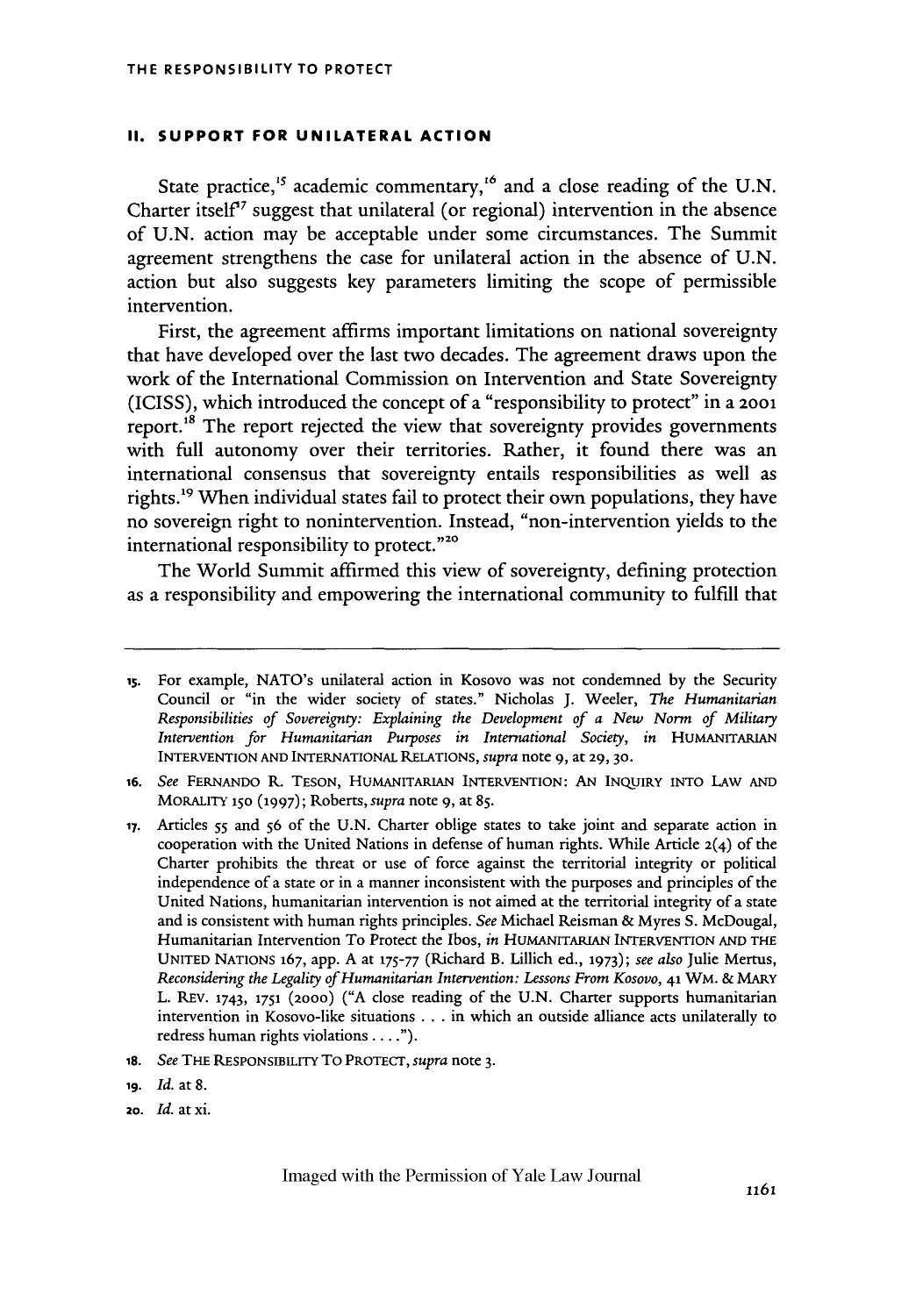#### **II. SUPPORT FOR UNILATERAL ACTION**

State practice,<sup>15</sup> academic commentary,<sup>16</sup> and a close reading of the U.N. Charter itself<sup> $\sigma$ </sup> suggest that unilateral (or regional) intervention in the absence of U.N. action may be acceptable under some circumstances. The Summit agreement strengthens the case for unilateral action in the absence of U.N. action but also suggests key parameters limiting the scope of permissible intervention.

First, the agreement affirms important limitations on national sovereignty that have developed over the last two decades. The agreement draws upon the work of the International Commission on Intervention and State Sovereignty (ICISS), which introduced the concept of a "responsibility to protect" in a 2001 report.<sup>18</sup> The report rejected the view that sovereignty provides governments with full autonomy over their territories. Rather, it found there was an international consensus that sovereignty entails responsibilities as well as rights.<sup>19</sup> When individual states fail to protect their own populations, they have no sovereign right to nonintervention. Instead, "non-intervention yields to the international responsibility to protect."<sup>20</sup>

The World Summit affirmed this view of sovereignty, defining protection as a responsibility and empowering the international community to fulfill that

- **16.** *See* FERNANDO R. TESON, HUMANITARIAN INTERVENTION: AN INQUIRY INTO LAW AND MORALITY **150 (1997);** Roberts, *supra* note 9, at 85.
- **17.** Articles **55** and **56** of the U.N. Charter oblige states to take joint and separate action in cooperation with the United Nations in defense of human rights. While Article  $2(4)$  of the Charter prohibits the threat or use of force against the territorial integrity or political independence of a state or in a manner inconsistent with the purposes and principles of the United Nations, humanitarian intervention is not aimed at the territorial integrity of a state and is consistent with human rights principles. *See* Michael Reisman & Myres S. McDougal, Humanitarian Intervention To Protect the Ibos, *in* HUMANITARIAN INTERVENTION **AND** THE UNITED NATIONS 167, app. A at **175-77** (Richard B. Lillich ed., **1973);** *see also* Julie Mertus, *Reconsidering the Legality* of *Humanitarian Intervention: Lessons From Kosovo,* 41 WM. & MARY L. REV. 1743, **1751** (2ooo) ("A close reading of the U.N. Charter supports humanitarian intervention in Kosovo-like situations . **.**. in which an outside alliance acts unilaterally to redress human rights violations.... ").
- 18. *See* THE RESPONSIBILITY To PROTECT, *supra* note **3.**
- **19.** Id. at **8.**
- **2o.** *Id.* **at xi.**

is. For example, NATO's unilateral action in Kosovo was not condemned by the Security Council or "in the wider society of states." Nicholas J. Weeler, *The Humanitarian Responsibilities of Sovereignty: Explaining the Development of a New Norm of Military Intervention for Humanitarian Purposes in International Society, in* HUMANITARIAN INTERVENTION AND INTERNATIONAL RELATIONS, *supra* note 9, at 29, **30.**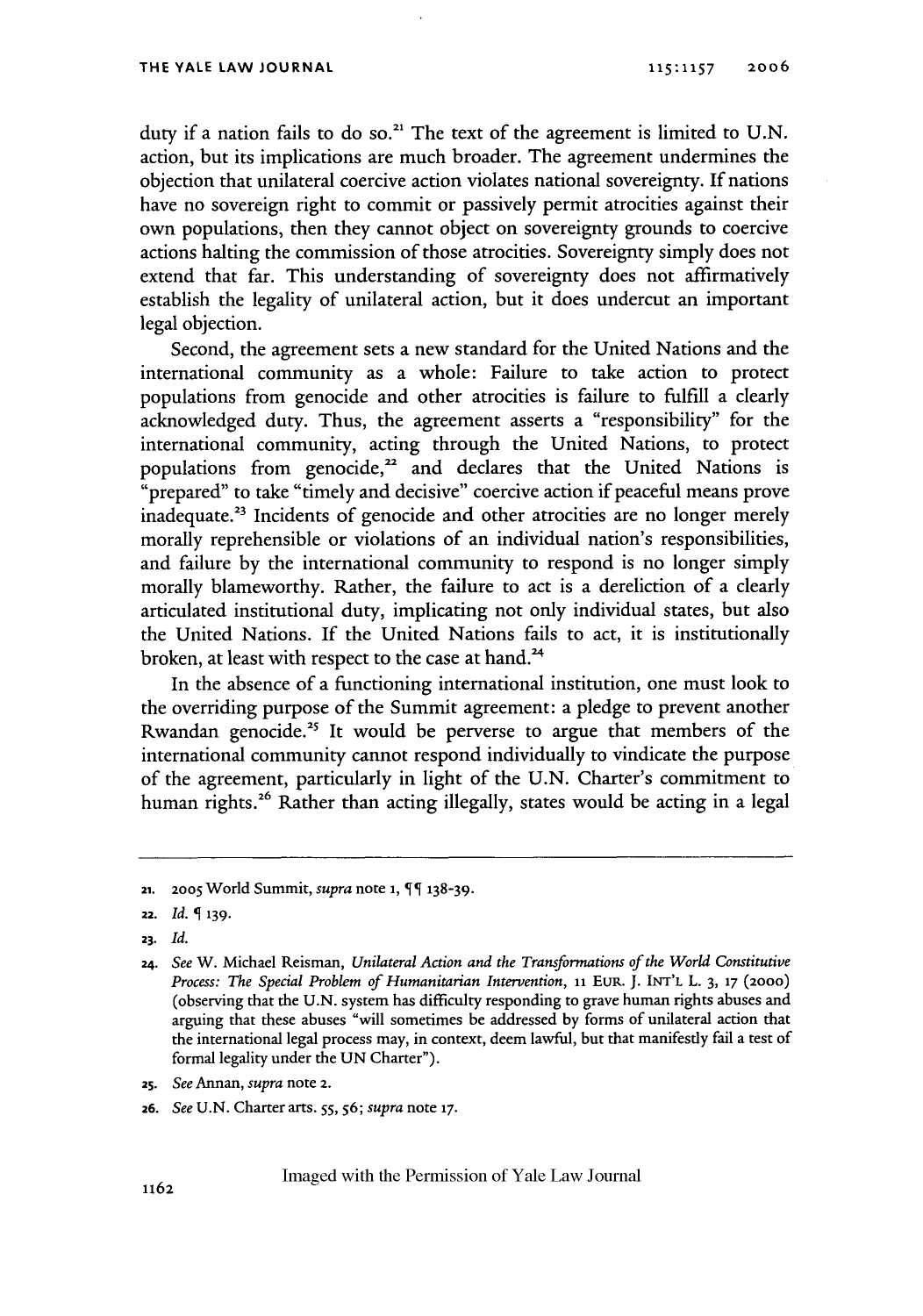duty if a nation fails to do so.<sup>21</sup> The text of the agreement is limited to U.N. action, but its implications are much broader. The agreement undermines the objection that unilateral coercive action violates national sovereignty. If nations have no sovereign right to commit or passively permit atrocities against their own populations, then they cannot object on sovereignty grounds to coercive actions halting the commission of those atrocities. Sovereignty simply does not extend that far. This understanding of sovereignty does not affirmatively establish the legality of unilateral action, but it does undercut an important legal objection.

Second, the agreement sets a new standard for the United Nations and the international community as a whole: Failure to take action to protect populations from genocide and other atrocities is failure to fulfill a clearly acknowledged duty. Thus, the agreement asserts a "responsibility" for the international community, acting through the United Nations, to protect populations from genocide,<sup>22</sup> and declares that the United Nations is "prepared" to take "timely and decisive" coercive action if peaceful means prove inadequate.<sup>23</sup> Incidents of genocide and other atrocities are no longer merely morally reprehensible or violations of an individual nation's responsibilities, and failure by the international community to respond is no longer simply morally blameworthy. Rather, the failure to act is a dereliction of a clearly articulated institutional duty, implicating not only individual states, but also the United Nations. If the United Nations fails to act, it is institutionally broken, at least with respect to the case at hand.'

In the absence of a functioning international institution, one must look to the overriding purpose of the Summit agreement: a pledge to prevent another Rwandan genocide.<sup>25</sup> It would be perverse to argue that members of the international community cannot respond individually to vindicate the purpose of the agreement, particularly in light of the U.N. Charter's commitment to human rights.<sup>26</sup> Rather than acting illegally, states would be acting in a legal

- *25. See Annan, supra* note 2.
- **26.** *See* U.N. Charter arts. *55,* **56;** *supra* note **17.**

<sup>21.</sup> **2005** World Summit, *supra* note **1,** 138-39.

<sup>22.</sup> *Id.* **139.**

*<sup>23.</sup> Id.*

*<sup>24.</sup> See* W. Michael Reisman, *Unilateral Action and the Transformations of the World Constitutive Process: The Special Problem of Humanitarian Intervention, 11* EUR. **J. INT'L** L. 3, **17** (2000) (observing that the U.N. system has difficulty responding to grave human rights abuses and arguing that these abuses "will sometimes be addressed by forms of unilateral action that the international legal process may, in context, deem lawful, but that manifestly fail a test of formal legality under the UN Charter").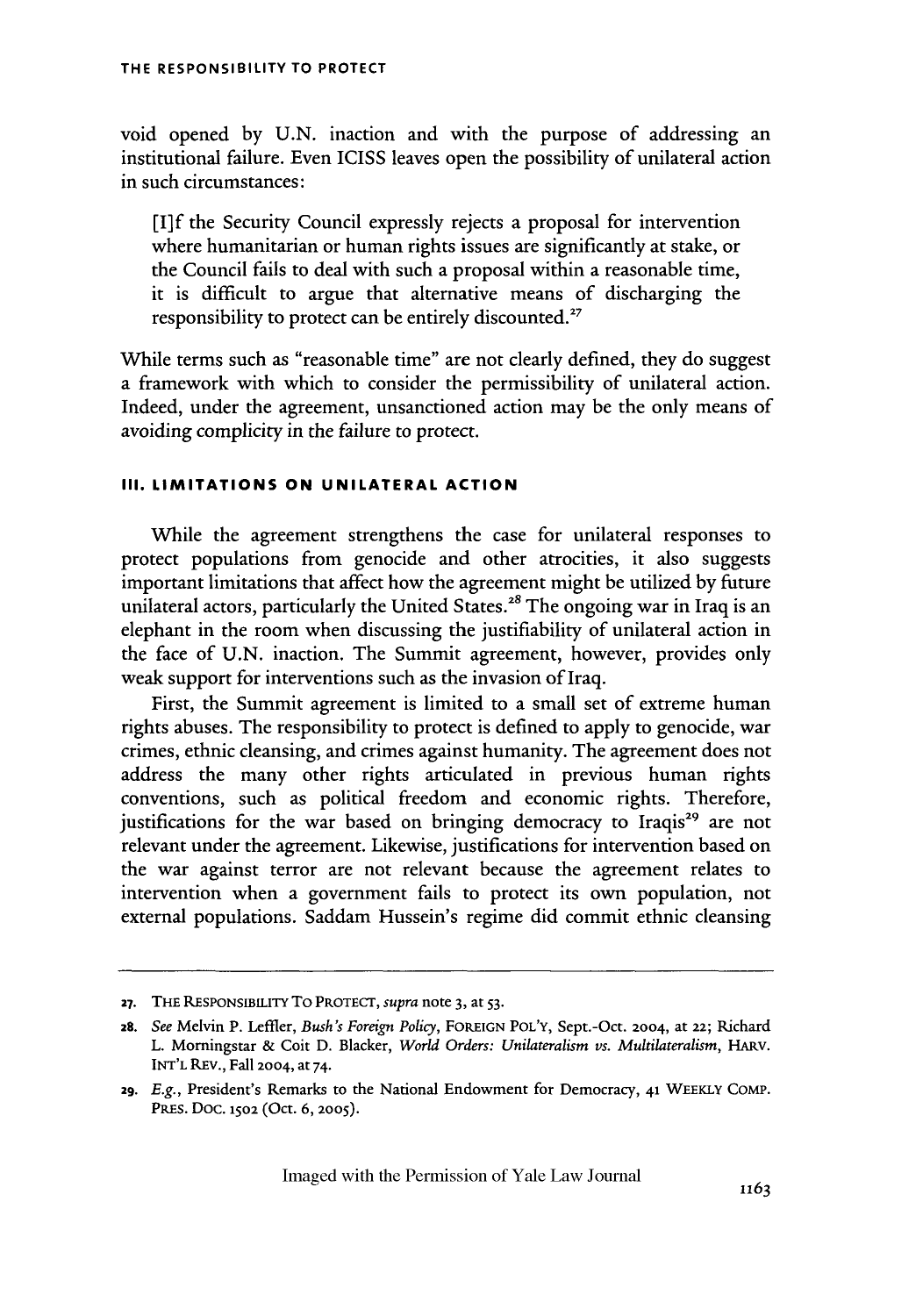void opened by U.N. inaction and with the purpose of addressing an institutional failure. Even ICISS leaves open the possibility of unilateral action in such circumstances:

[I]f the Security Council expressly rejects a proposal for intervention where humanitarian or human rights issues are significantly at stake, or the Council fails to deal with such a proposal within a reasonable time, it is difficult to argue that alternative means of discharging the responsibility to protect can be entirely discounted.<sup>27</sup>

While terms such as "reasonable time" are not clearly defined, they do suggest a framework with which to consider the permissibility of unilateral action. Indeed, under the agreement, unsanctioned action may be the only means of avoiding complicity in the failure to protect.

#### **III. LIMITATIONS ON UNILATERAL ACTION**

While the agreement strengthens the case for unilateral responses to protect populations from genocide and other atrocities, it also suggests important limitations that affect how the agreement might be utilized by future unilateral actors, particularly the United States.<sup>28</sup> The ongoing war in Iraq is an elephant in the room when discussing the justifiability of unilateral action in the face of U.N. inaction. The Summit agreement, however, provides only weak support for interventions such as the invasion of Iraq.

First, the Summit agreement is limited to a small set of extreme human rights abuses. The responsibility to protect is defined to apply to genocide, war crimes, ethnic cleansing, and crimes against humanity. The agreement does not address the many other rights articulated in previous human rights conventions, such as political freedom and economic rights. Therefore, justifications for the war based on bringing democracy to Iraqis<sup>29</sup> are not relevant under the agreement. Likewise, justifications for intervention based on the war against terror are not relevant because the agreement relates to intervention when a government fails to protect its own population, not external populations. Saddam Hussein's regime did commit ethnic cleansing

**<sup>27.</sup>** THE RESPONSIBILITY To PROTECT, *supra* note 3, at **53.**

<sup>28.</sup> *See* Melvin P. Leffler, *Bush's Foreign Policy,* FOREIGN POL'Y, Sept.-Oct. 2004, at **22;** Richard L. Morningstar & Coit D. Blacker, *World Orders: Unilateralism vs. Multilateralism,* HARV. INT'L REV., Fall 2004, at 74.

*<sup>29.</sup> E.g.,* President's Remarks to the National Endowment for Democracy, 41 WEEKLY COMP. PREs. Doc. **1502** (Oct. 6, **2005).**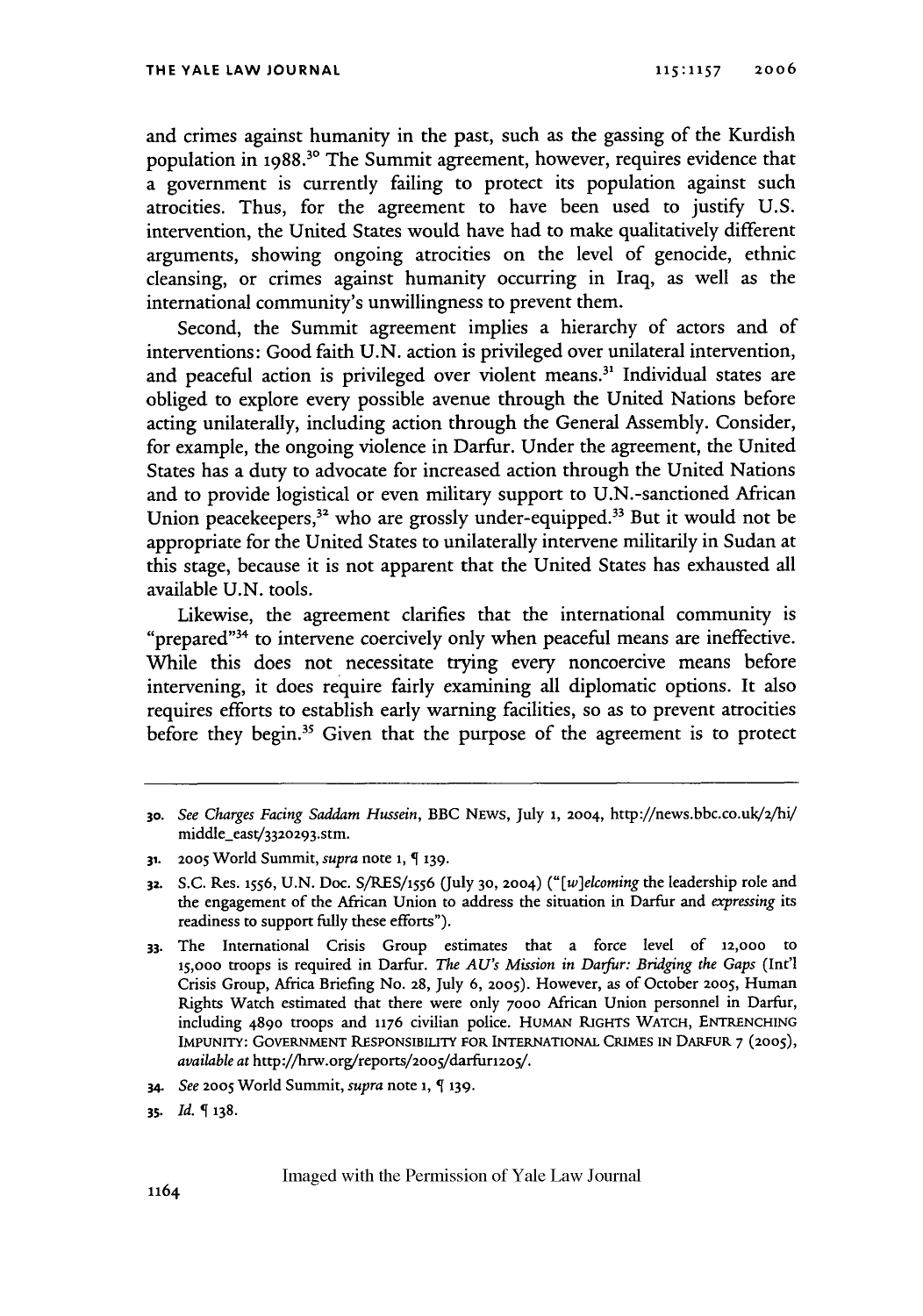and crimes against humanity in the past, such as the gassing of the Kurdish population in 1988.30 The Summit agreement, however, requires evidence that a government is currently failing to protect its population against such atrocities. Thus, for the agreement to have been used to justify U.S. intervention, the United States would have had to make qualitatively different arguments, showing ongoing atrocities on the level of genocide, ethnic cleansing, or crimes against humanity occurring in Iraq, as well as the international community's unwillingness to prevent them.

Second, the Summit agreement implies a hierarchy of actors and of interventions: Good faith U.N. action is privileged over unilateral intervention, and peaceful action is privileged over violent means.<sup>31</sup> Individual states are obliged to explore every possible avenue through the United Nations before acting unilaterally, including action through the General Assembly. Consider, for example, the ongoing violence in Darfur. Under the agreement, the United States has a duty to advocate for increased action through the United Nations and to provide logistical or even military support to U.N.-sanctioned African Union peacekeepers, $3^2$  who are grossly under-equipped.<sup>33</sup> But it would not be appropriate for the United States to unilaterally intervene militarily in Sudan at this stage, because it is not apparent that the United States has exhausted all available U.N. tools.

Likewise, the agreement clarifies that the international community is "prepared"<sup>34</sup> to intervene coercively only when peaceful means are ineffective. While this does not necessitate trying every noncoercive means before intervening, it does require fairly examining all diplomatic options. It also requires efforts to establish early warning facilities, so as to prevent atrocities before they begin.<sup>35</sup> Given that the purpose of the agreement is to protect

- **31. 2005** World Summit, *supra* note 1, **139.**
- **32.** S.C. Res. **1556,** U.N. Doc. S/RES/1556 (July **30,** 2004) *("[w]elcoming* the leadership role and the engagement of the African Union to address the situation in Darfur and *expressing its* readiness to support fully these efforts").
- **33.** The International Crisis Group estimates that a force level of **12,000** to **15,000** troops is required in Darfur. *The AU's Mission in Darfur: Bridging the Gaps* (Int'l Crisis Group, Africa Briefing No. 28, July 6, **2005).** However, as of October **2005,** Human Rights Watch estimated that there were only **7000** African Union personnel in Darfur, including 4890 troops and **1176** civilian police. HUMAN RIGHTS WATCH, **ENTRENCHING** IMPUNITY: GOVERNMENT **RESPONSIBILITY** FOR INTERNATIONAL CRIMES **IN** DARFUR 7 (2OO5), *available at* http://hrw.org/reports/2oo5/darfur12os/.
- *34. See* **2005** World Summit, *supra* note **i, 139.**
- *35. Id.* **138.**

**<sup>30.</sup>** *See Charges Facing Saddam Hussein,* BBC NEws, July 1, 2004, http://news.bbc.co.uk/2/hV middle east/332o293.stm.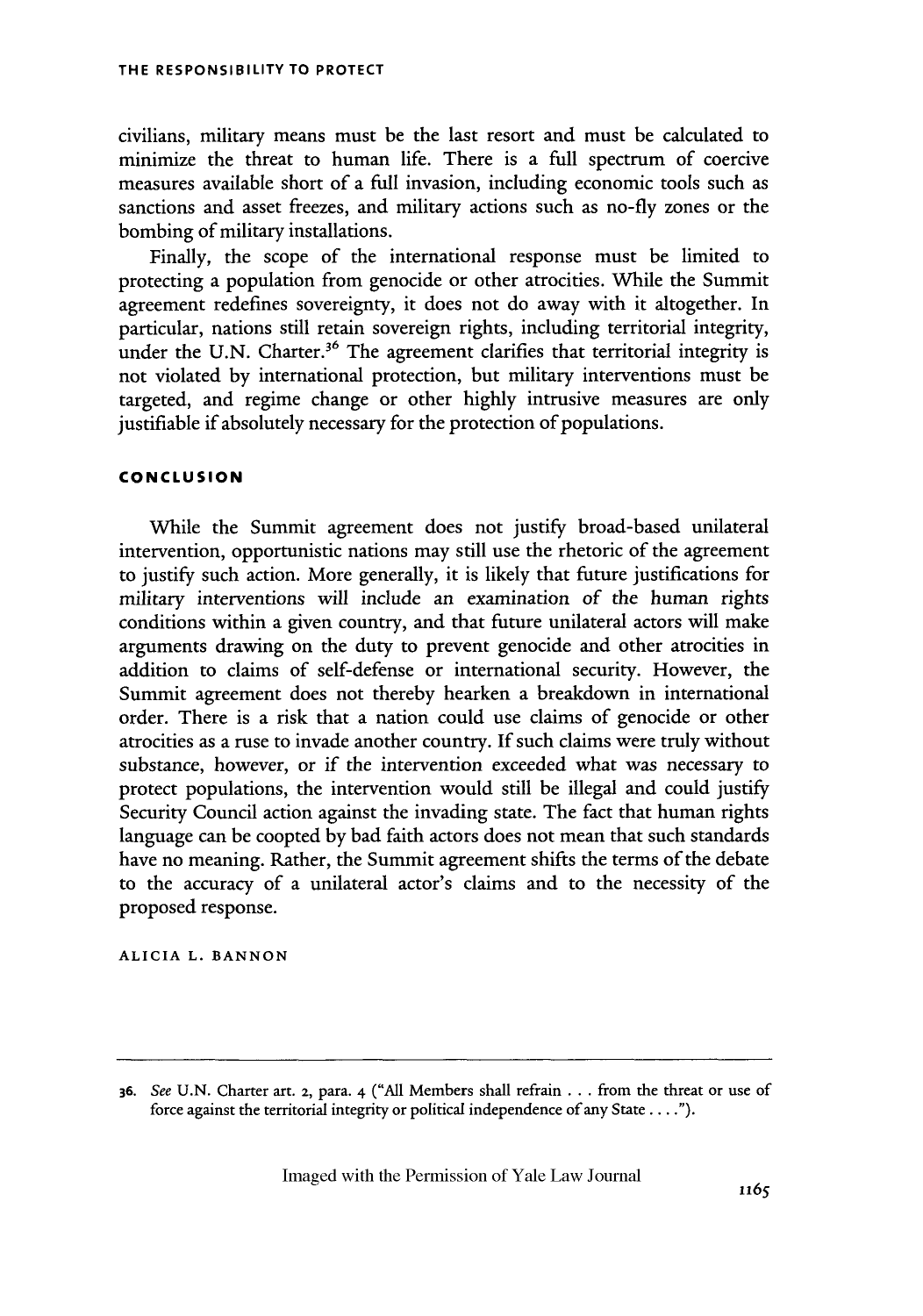civilians, military means must be the last resort and must be calculated to minimize the threat to human life. There is a full spectrum of coercive measures available short of a full invasion, including economic tools such as sanctions and asset freezes, and military actions such as no-fly zones or the bombing of military installations.

Finally, the scope of the international response must be limited to protecting a population from genocide or other atrocities. While the Summit agreement redefines sovereignty, it does not do away with it altogether. In particular, nations still retain sovereign rights, including territorial integrity, under the U.N. Charter.<sup>36</sup> The agreement clarifies that territorial integrity is not violated by international protection, but military interventions must be targeted, and regime change or other highly intrusive measures are only justifiable if absolutely necessary for the protection of populations.

### **CONCLUSION**

While the Summit agreement does not justify broad-based unilateral intervention, opportunistic nations may still use the rhetoric of the agreement to justify such action. More generally, it is likely that future justifications for military interventions will include an examination of the human rights conditions within a given country, and that future unilateral actors will make arguments drawing on the duty to prevent genocide and other atrocities in addition to claims of self-defense or international security. However, the Summit agreement does not thereby hearken a breakdown in international order. There is a risk that a nation could use claims of genocide or other atrocities as a ruse to invade another country. If such claims were truly without substance, however, or if the intervention exceeded what was necessary to protect populations, the intervention would still be illegal and could justify Security Council action against the invading state. The fact that human rights language can be coopted by bad faith actors does not mean that such standards have no meaning. Rather, the Summit agreement shifts the terms of the debate to the accuracy of a unilateral actor's claims and to the necessity of the proposed response.

**ALICIA L. BANNON**

**<sup>36.</sup>** See U.N. Charter art. 2, para. 4 ("All Members shall refrain **...** from the threat or use of force against the territorial integrity or political independence of any State .... *").*